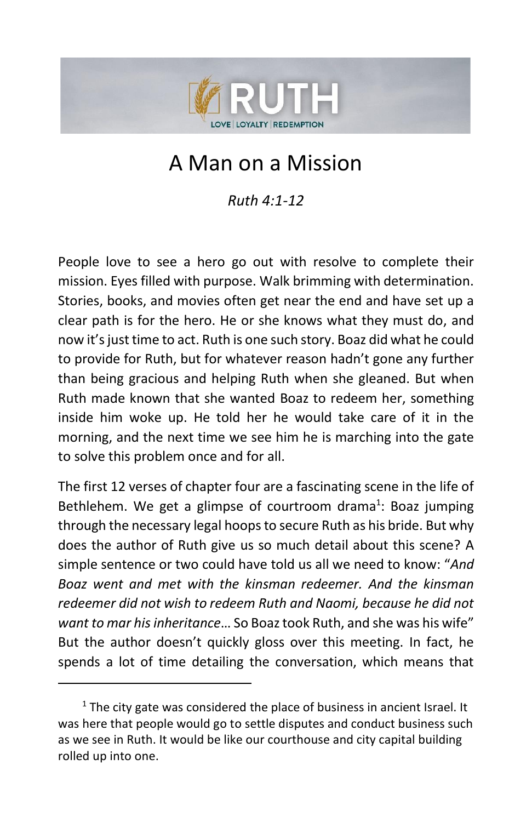

# A Man on a Mission

*Ruth 4:1-12*

People love to see a hero go out with resolve to complete their mission. Eyes filled with purpose. Walk brimming with determination. Stories, books, and movies often get near the end and have set up a clear path is for the hero. He or she knows what they must do, and now it's just time to act. Ruth is one such story. Boaz did what he could to provide for Ruth, but for whatever reason hadn't gone any further than being gracious and helping Ruth when she gleaned. But when Ruth made known that she wanted Boaz to redeem her, something inside him woke up. He told her he would take care of it in the morning, and the next time we see him he is marching into the gate to solve this problem once and for all.

The first 12 verses of chapter four are a fascinating scene in the life of Bethlehem. We get a glimpse of courtroom drama<sup>1</sup>: Boaz jumping through the necessary legal hoops to secure Ruth as his bride. But why does the author of Ruth give us so much detail about this scene? A simple sentence or two could have told us all we need to know: "*And Boaz went and met with the kinsman redeemer. And the kinsman redeemer did not wish to redeem Ruth and Naomi, because he did not want to mar his inheritance*… So Boaz took Ruth, and she was his wife" But the author doesn't quickly gloss over this meeting. In fact, he spends a lot of time detailing the conversation, which means that

 $1$  The city gate was considered the place of business in ancient Israel. It was here that people would go to settle disputes and conduct business such as we see in Ruth. It would be like our courthouse and city capital building rolled up into one.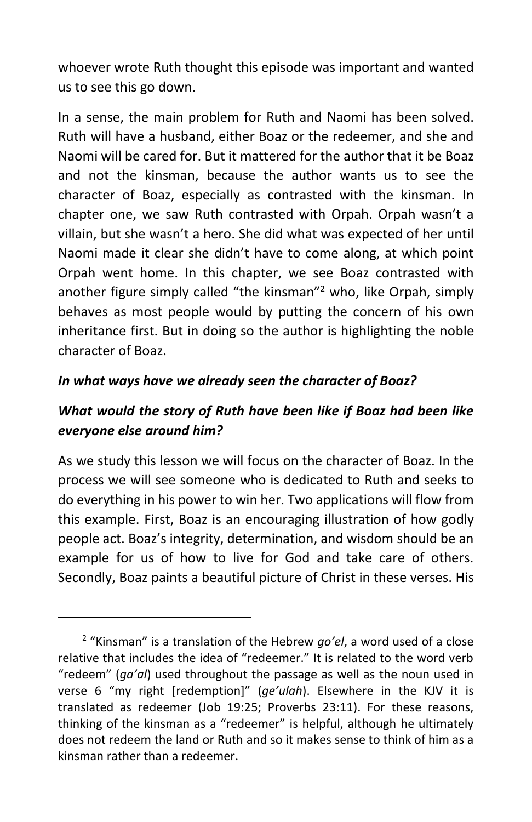whoever wrote Ruth thought this episode was important and wanted us to see this go down.

In a sense, the main problem for Ruth and Naomi has been solved. Ruth will have a husband, either Boaz or the redeemer, and she and Naomi will be cared for. But it mattered for the author that it be Boaz and not the kinsman, because the author wants us to see the character of Boaz, especially as contrasted with the kinsman. In chapter one, we saw Ruth contrasted with Orpah. Orpah wasn't a villain, but she wasn't a hero. She did what was expected of her until Naomi made it clear she didn't have to come along, at which point Orpah went home. In this chapter, we see Boaz contrasted with another figure simply called "the kinsman"<sup>2</sup> who, like Orpah, simply behaves as most people would by putting the concern of his own inheritance first. But in doing so the author is highlighting the noble character of Boaz.

#### *In what ways have we already seen the character of Boaz?*

#### *What would the story of Ruth have been like if Boaz had been like everyone else around him?*

As we study this lesson we will focus on the character of Boaz. In the process we will see someone who is dedicated to Ruth and seeks to do everything in his power to win her. Two applications will flow from this example. First, Boaz is an encouraging illustration of how godly people act. Boaz's integrity, determination, and wisdom should be an example for us of how to live for God and take care of others. Secondly, Boaz paints a beautiful picture of Christ in these verses. His

<sup>2</sup> "Kinsman" is a translation of the Hebrew *go'el*, a word used of a close relative that includes the idea of "redeemer." It is related to the word verb "redeem" (*ga'al*) used throughout the passage as well as the noun used in verse 6 "my right [redemption]" (*ge'ulah*). Elsewhere in the KJV it is translated as redeemer (Job 19:25; Proverbs 23:11). For these reasons, thinking of the kinsman as a "redeemer" is helpful, although he ultimately does not redeem the land or Ruth and so it makes sense to think of him as a kinsman rather than a redeemer.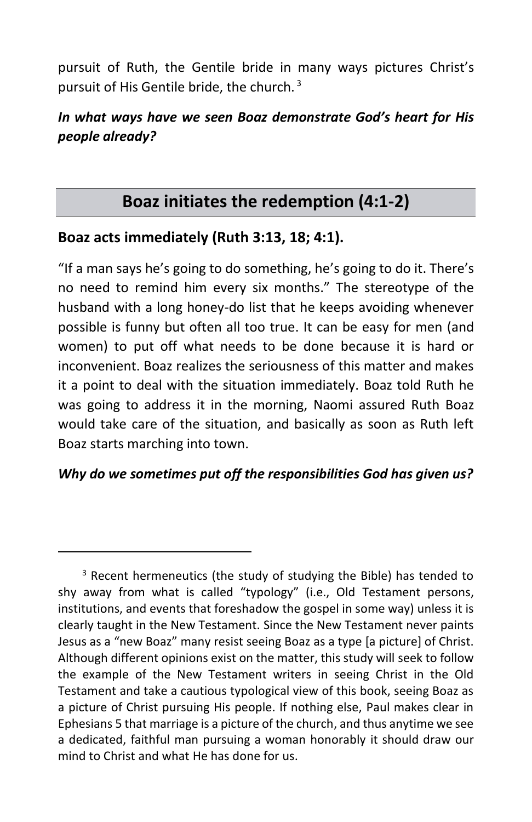pursuit of Ruth, the Gentile bride in many ways pictures Christ's pursuit of His Gentile bride, the church.  $3$ 

#### *In what ways have we seen Boaz demonstrate God's heart for His people already?*

## **Boaz initiates the redemption (4:1-2)**

#### **Boaz acts immediately (Ruth 3:13, 18; 4:1).**

"If a man says he's going to do something, he's going to do it. There's no need to remind him every six months." The stereotype of the husband with a long honey-do list that he keeps avoiding whenever possible is funny but often all too true. It can be easy for men (and women) to put off what needs to be done because it is hard or inconvenient. Boaz realizes the seriousness of this matter and makes it a point to deal with the situation immediately. Boaz told Ruth he was going to address it in the morning, Naomi assured Ruth Boaz would take care of the situation, and basically as soon as Ruth left Boaz starts marching into town.

#### *Why do we sometimes put off the responsibilities God has given us?*

<sup>&</sup>lt;sup>3</sup> Recent hermeneutics (the study of studying the Bible) has tended to shy away from what is called "typology" (i.e., Old Testament persons, institutions, and events that foreshadow the gospel in some way) unless it is clearly taught in the New Testament. Since the New Testament never paints Jesus as a "new Boaz" many resist seeing Boaz as a type [a picture] of Christ. Although different opinions exist on the matter, this study will seek to follow the example of the New Testament writers in seeing Christ in the Old Testament and take a cautious typological view of this book, seeing Boaz as a picture of Christ pursuing His people. If nothing else, Paul makes clear in Ephesians 5 that marriage is a picture of the church, and thus anytime we see a dedicated, faithful man pursuing a woman honorably it should draw our mind to Christ and what He has done for us.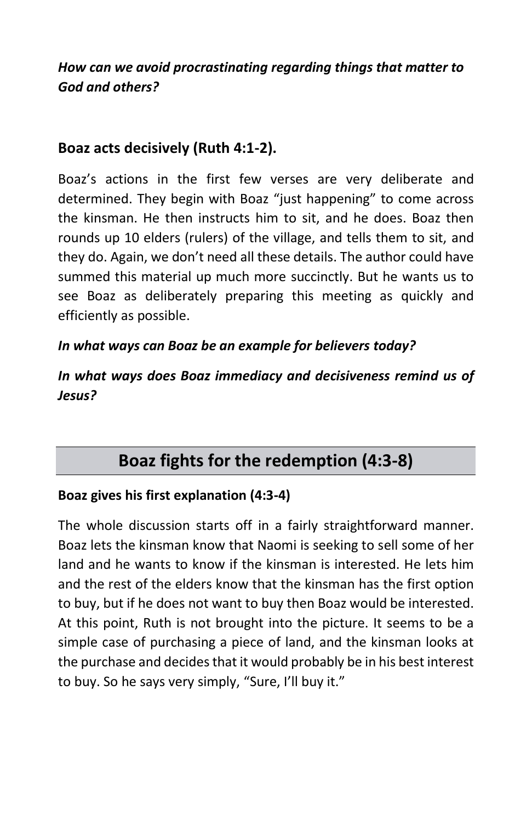*How can we avoid procrastinating regarding things that matter to God and others?*

#### **Boaz acts decisively (Ruth 4:1-2).**

Boaz's actions in the first few verses are very deliberate and determined. They begin with Boaz "just happening" to come across the kinsman. He then instructs him to sit, and he does. Boaz then rounds up 10 elders (rulers) of the village, and tells them to sit, and they do. Again, we don't need all these details. The author could have summed this material up much more succinctly. But he wants us to see Boaz as deliberately preparing this meeting as quickly and efficiently as possible.

#### *In what ways can Boaz be an example for believers today?*

*In what ways does Boaz immediacy and decisiveness remind us of Jesus?*

## **Boaz fights for the redemption (4:3-8)**

#### **Boaz gives his first explanation (4:3-4)**

The whole discussion starts off in a fairly straightforward manner. Boaz lets the kinsman know that Naomi is seeking to sell some of her land and he wants to know if the kinsman is interested. He lets him and the rest of the elders know that the kinsman has the first option to buy, but if he does not want to buy then Boaz would be interested. At this point, Ruth is not brought into the picture. It seems to be a simple case of purchasing a piece of land, and the kinsman looks at the purchase and decides that it would probably be in his best interest to buy. So he says very simply, "Sure, I'll buy it."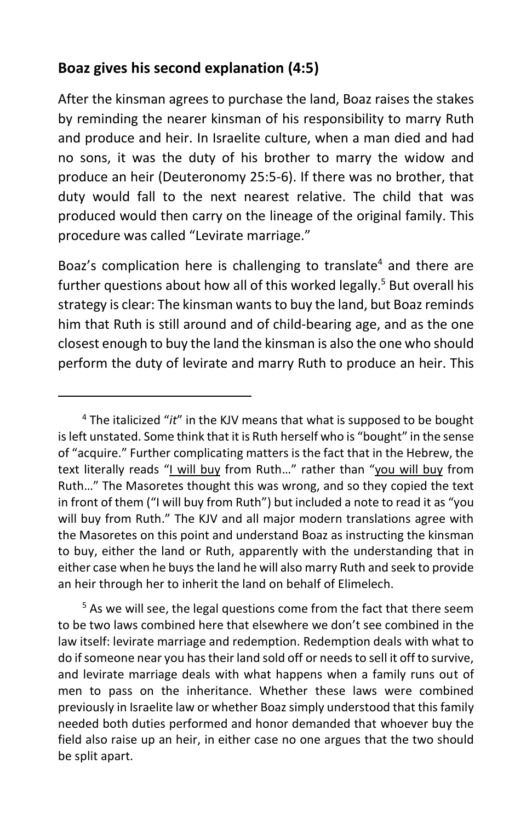## **Boaz gives his second explanation (4:5)**

After the kinsman agrees to purchase the land, Boaz raises the stakes by reminding the nearer kinsman of his responsibility to marry Ruth and produce and heir. In Israelite culture, when a man died and had no sons, it was the duty of his brother to marry the widow and produce an heir (Deuteronomy 25:5-6). If there was no brother, that duty would fall to the next nearest relative. The child that was produced would then carry on the lineage of the original family. This procedure was called "Levirate marriage."

Boaz's complication here is challenging to translate<sup>4</sup> and there are further questions about how all of this worked legally.<sup>5</sup> But overall his strategy is clear: The kinsman wants to buy the land, but Boaz reminds him that Ruth is still around and of child-bearing age, and as the one closest enough to buy the land the kinsman is also the one who should perform the duty of levirate and marry Ruth to produce an heir. This

<sup>4</sup> The italicized "*it*" in the KJV means that what is supposed to be bought is left unstated. Some think that it is Ruth herself who is "bought" in the sense of "acquire." Further complicating matters is the fact that in the Hebrew, the text literally reads "I will buy from Ruth…" rather than "you will buy from Ruth…" The Masoretes thought this was wrong, and so they copied the text in front of them ("I will buy from Ruth") but included a note to read it as "you will buy from Ruth." The KJV and all major modern translations agree with the Masoretes on this point and understand Boaz as instructing the kinsman to buy, either the land or Ruth, apparently with the understanding that in either case when he buys the land he will also marry Ruth and seek to provide an heir through her to inherit the land on behalf of Elimelech.

<sup>&</sup>lt;sup>5</sup> As we will see, the legal questions come from the fact that there seem to be two laws combined here that elsewhere we don't see combined in the law itself: levirate marriage and redemption. Redemption deals with what to do if someone near you has their land sold off or needs to sell it off to survive, and levirate marriage deals with what happens when a family runs out of men to pass on the inheritance. Whether these laws were combined previously in Israelite law or whether Boaz simply understood that this family needed both duties performed and honor demanded that whoever buy the field also raise up an heir, in either case no one argues that the two should be split apart.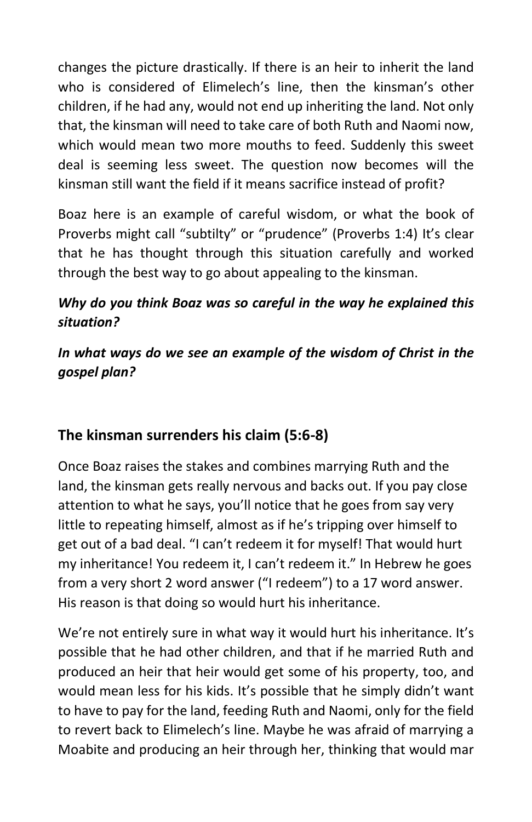changes the picture drastically. If there is an heir to inherit the land who is considered of Elimelech's line, then the kinsman's other children, if he had any, would not end up inheriting the land. Not only that, the kinsman will need to take care of both Ruth and Naomi now, which would mean two more mouths to feed. Suddenly this sweet deal is seeming less sweet. The question now becomes will the kinsman still want the field if it means sacrifice instead of profit?

Boaz here is an example of careful wisdom, or what the book of Proverbs might call "subtilty" or "prudence" (Proverbs 1:4) It's clear that he has thought through this situation carefully and worked through the best way to go about appealing to the kinsman.

### *Why do you think Boaz was so careful in the way he explained this situation?*

### *In what ways do we see an example of the wisdom of Christ in the gospel plan?*

## **The kinsman surrenders his claim (5:6-8)**

Once Boaz raises the stakes and combines marrying Ruth and the land, the kinsman gets really nervous and backs out. If you pay close attention to what he says, you'll notice that he goes from say very little to repeating himself, almost as if he's tripping over himself to get out of a bad deal. "I can't redeem it for myself! That would hurt my inheritance! You redeem it, I can't redeem it." In Hebrew he goes from a very short 2 word answer ("I redeem") to a 17 word answer. His reason is that doing so would hurt his inheritance.

We're not entirely sure in what way it would hurt his inheritance. It's possible that he had other children, and that if he married Ruth and produced an heir that heir would get some of his property, too, and would mean less for his kids. It's possible that he simply didn't want to have to pay for the land, feeding Ruth and Naomi, only for the field to revert back to Elimelech's line. Maybe he was afraid of marrying a Moabite and producing an heir through her, thinking that would mar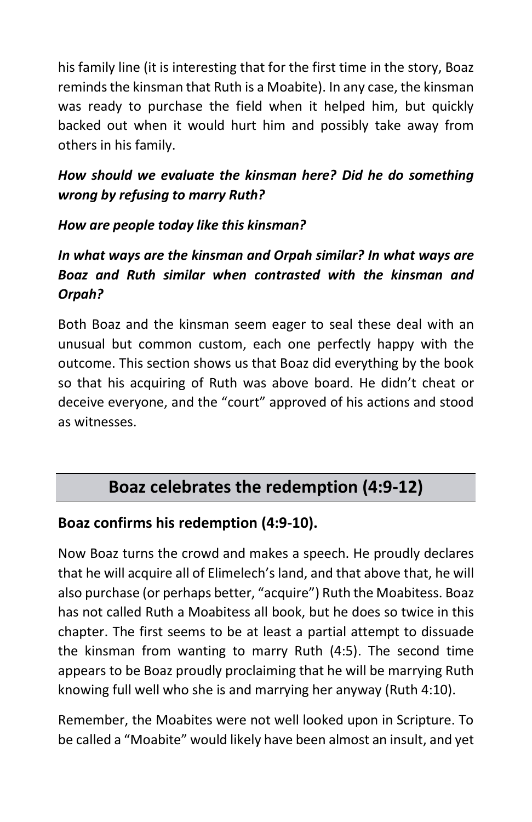his family line (it is interesting that for the first time in the story, Boaz reminds the kinsman that Ruth is a Moabite). In any case, the kinsman was ready to purchase the field when it helped him, but quickly backed out when it would hurt him and possibly take away from others in his family.

### *How should we evaluate the kinsman here? Did he do something wrong by refusing to marry Ruth?*

#### *How are people today like this kinsman?*

## *In what ways are the kinsman and Orpah similar? In what ways are Boaz and Ruth similar when contrasted with the kinsman and Orpah?*

Both Boaz and the kinsman seem eager to seal these deal with an unusual but common custom, each one perfectly happy with the outcome. This section shows us that Boaz did everything by the book so that his acquiring of Ruth was above board. He didn't cheat or deceive everyone, and the "court" approved of his actions and stood as witnesses.

## **Boaz celebrates the redemption (4:9-12)**

## **Boaz confirms his redemption (4:9-10).**

Now Boaz turns the crowd and makes a speech. He proudly declares that he will acquire all of Elimelech's land, and that above that, he will also purchase (or perhaps better, "acquire") Ruth the Moabitess. Boaz has not called Ruth a Moabitess all book, but he does so twice in this chapter. The first seems to be at least a partial attempt to dissuade the kinsman from wanting to marry Ruth (4:5). The second time appears to be Boaz proudly proclaiming that he will be marrying Ruth knowing full well who she is and marrying her anyway (Ruth 4:10).

Remember, the Moabites were not well looked upon in Scripture. To be called a "Moabite" would likely have been almost an insult, and yet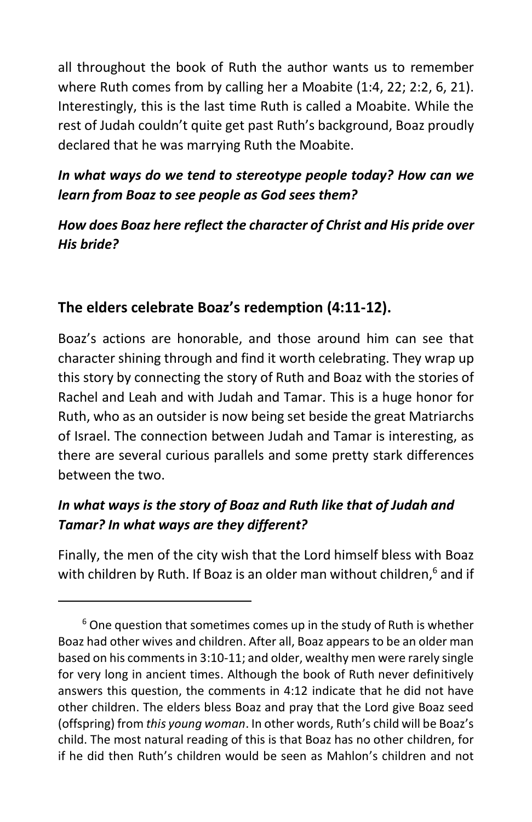all throughout the book of Ruth the author wants us to remember where Ruth comes from by calling her a Moabite (1:4, 22; 2:2, 6, 21). Interestingly, this is the last time Ruth is called a Moabite. While the rest of Judah couldn't quite get past Ruth's background, Boaz proudly declared that he was marrying Ruth the Moabite.

#### *In what ways do we tend to stereotype people today? How can we learn from Boaz to see people as God sees them?*

#### *How does Boaz here reflect the character of Christ and His pride over His bride?*

## **The elders celebrate Boaz's redemption (4:11-12).**

Boaz's actions are honorable, and those around him can see that character shining through and find it worth celebrating. They wrap up this story by connecting the story of Ruth and Boaz with the stories of Rachel and Leah and with Judah and Tamar. This is a huge honor for Ruth, who as an outsider is now being set beside the great Matriarchs of Israel. The connection between Judah and Tamar is interesting, as there are several curious parallels and some pretty stark differences between the two.

## *In what ways is the story of Boaz and Ruth like that of Judah and Tamar? In what ways are they different?*

Finally, the men of the city wish that the Lord himself bless with Boaz with children by Ruth. If Boaz is an older man without children, $6$  and if

 $6$  One question that sometimes comes up in the study of Ruth is whether Boaz had other wives and children. After all, Boaz appears to be an older man based on his comments in 3:10-11; and older, wealthy men were rarely single for very long in ancient times. Although the book of Ruth never definitively answers this question, the comments in 4:12 indicate that he did not have other children. The elders bless Boaz and pray that the Lord give Boaz seed (offspring) from *this young woman*. In other words, Ruth's child will be Boaz's child. The most natural reading of this is that Boaz has no other children, for if he did then Ruth's children would be seen as Mahlon's children and not